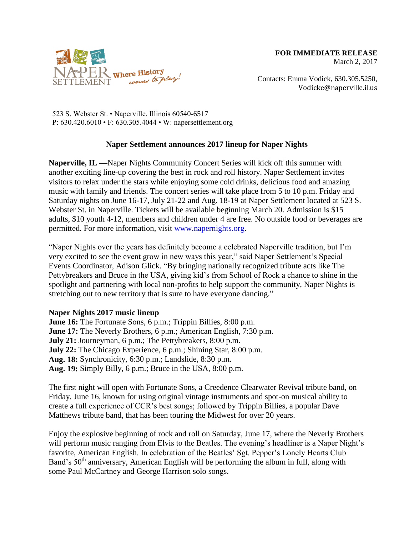

Contacts: Emma Vodick, 630.305.5250, Vodicke@naperville.il.us

523 S. Webster St. • Naperville, Illinois 60540-6517 P: 630.420.6010 • F: 630.305.4044 • W: napersettlement.org

## **Naper Settlement announces 2017 lineup for Naper Nights**

**Naperville, IL —**Naper Nights Community Concert Series will kick off this summer with another exciting line-up covering the best in rock and roll history. Naper Settlement invites visitors to relax under the stars while enjoying some cold drinks, delicious food and amazing music with family and friends. The concert series will take place from 5 to 10 p.m. Friday and Saturday nights on June 16-17, July 21-22 and Aug. 18-19 at Naper Settlement located at 523 S. Webster St. in Naperville. Tickets will be available beginning March 20. Admission is \$15 adults, \$10 youth 4-12, members and children under 4 are free. No outside food or beverages are permitted. For more information, visit [www.napernights.org.](http://www.napernights.org/)

"Naper Nights over the years has definitely become a celebrated Naperville tradition, but I'm very excited to see the event grow in new ways this year," said Naper Settlement's Special Events Coordinator, Adison Glick. "By bringing nationally recognized tribute acts like The Pettybreakers and Bruce in the USA, giving kid's from School of Rock a chance to shine in the spotlight and partnering with local non-profits to help support the community, Naper Nights is stretching out to new territory that is sure to have everyone dancing."

## **Naper Nights 2017 music lineup**

**June 16:** The Fortunate Sons, 6 p.m.; Trippin Billies, 8:00 p.m. **June 17:** The Neverly Brothers, 6 p.m.; American English, 7:30 p.m. **July 21:** Journeyman, 6 p.m.; The Pettybreakers, 8:00 p.m. **July 22:** The Chicago Experience, 6 p.m.; Shining Star, 8:00 p.m. **Aug. 18:** Synchronicity, 6:30 p.m.; Landslide, 8:30 p.m. **Aug. 19:** Simply Billy, 6 p.m.; Bruce in the USA, 8:00 p.m.

The first night will open with Fortunate Sons, a Creedence Clearwater Revival tribute band, on Friday, June 16, known for using original vintage instruments and spot-on musical ability to create a full experience of CCR's best songs; followed by Trippin Billies, a popular Dave Matthews tribute band, that has been touring the Midwest for over 20 years.

Enjoy the explosive beginning of rock and roll on Saturday, June 17, where the Neverly Brothers will perform music ranging from Elvis to the Beatles. The evening's headliner is a Naper Night's favorite, American English. In celebration of the Beatles' Sgt. Pepper's Lonely Hearts Club Band's 50<sup>th</sup> anniversary, American English will be performing the album in full, along with some Paul McCartney and George Harrison solo songs.